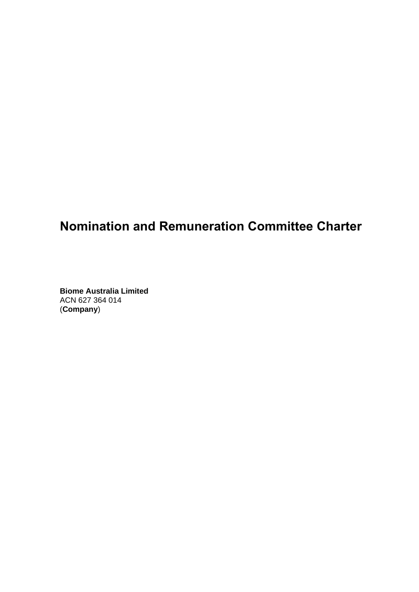# **Nomination and Remuneration Committee Charter**

**Biome Australia Limited**  ACN 627 364 014 (**Company**)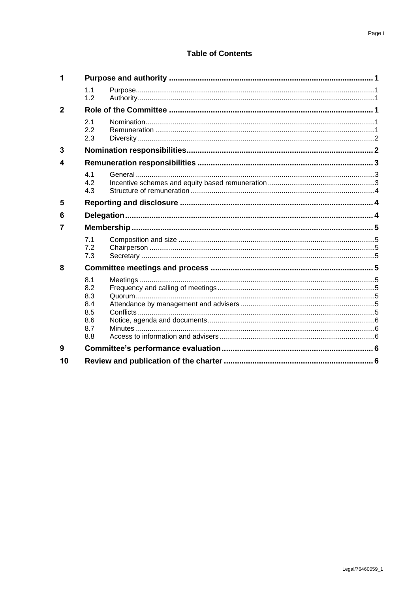## **Table of Contents**

| 1              |                                                      |  |  |
|----------------|------------------------------------------------------|--|--|
|                | 1.1<br>1.2                                           |  |  |
| $\overline{2}$ |                                                      |  |  |
|                | 2.1<br>2.2<br>2.3                                    |  |  |
| 3              |                                                      |  |  |
| 4              |                                                      |  |  |
|                | 4.1<br>4.2<br>4.3                                    |  |  |
| 5              |                                                      |  |  |
| 6              |                                                      |  |  |
| 7              |                                                      |  |  |
|                | 7.1<br>7.2<br>7.3                                    |  |  |
| 8              |                                                      |  |  |
|                | 8.1<br>8.2<br>8.3<br>8.4<br>8.5<br>8.6<br>8.7<br>8.8 |  |  |
| 9              |                                                      |  |  |
| 10             |                                                      |  |  |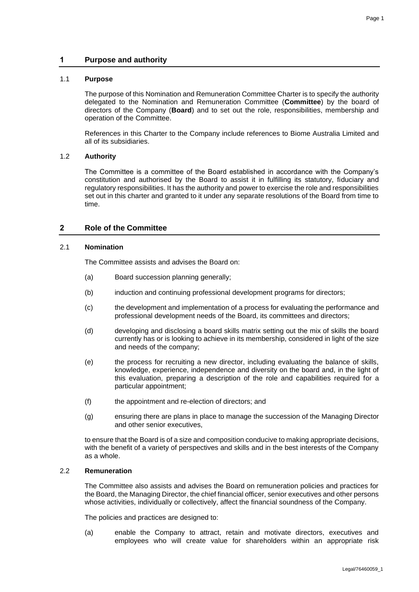## **1 Purpose and authority**

#### 1.1 **Purpose**

The purpose of this Nomination and Remuneration Committee Charter is to specify the authority delegated to the Nomination and Remuneration Committee (**Committee**) by the board of directors of the Company (**Board**) and to set out the role, responsibilities, membership and operation of the Committee.

References in this Charter to the Company include references to Biome Australia Limited and all of its subsidiaries.

## 1.2 **Authority**

The Committee is a committee of the Board established in accordance with the Company's constitution and authorised by the Board to assist it in fulfilling its statutory, fiduciary and regulatory responsibilities. It has the authority and power to exercise the role and responsibilities set out in this charter and granted to it under any separate resolutions of the Board from time to time.

## **2 Role of the Committee**

#### 2.1 **Nomination**

The Committee assists and advises the Board on:

- (a) Board succession planning generally;
- (b) induction and continuing professional development programs for directors;
- (c) the development and implementation of a process for evaluating the performance and professional development needs of the Board, its committees and directors;
- (d) developing and disclosing a board skills matrix setting out the mix of skills the board currently has or is looking to achieve in its membership, considered in light of the size and needs of the company;
- (e) the process for recruiting a new director, including evaluating the balance of skills, knowledge, experience, independence and diversity on the board and, in the light of this evaluation, preparing a description of the role and capabilities required for a particular appointment;
- (f) the appointment and re-election of directors; and
- (g) ensuring there are plans in place to manage the succession of the Managing Director and other senior executives,

to ensure that the Board is of a size and composition conducive to making appropriate decisions, with the benefit of a variety of perspectives and skills and in the best interests of the Company as a whole.

#### 2.2 **Remuneration**

The Committee also assists and advises the Board on remuneration policies and practices for the Board, the Managing Director, the chief financial officer, senior executives and other persons whose activities, individually or collectively, affect the financial soundness of the Company.

The policies and practices are designed to:

(a) enable the Company to attract, retain and motivate directors, executives and employees who will create value for shareholders within an appropriate risk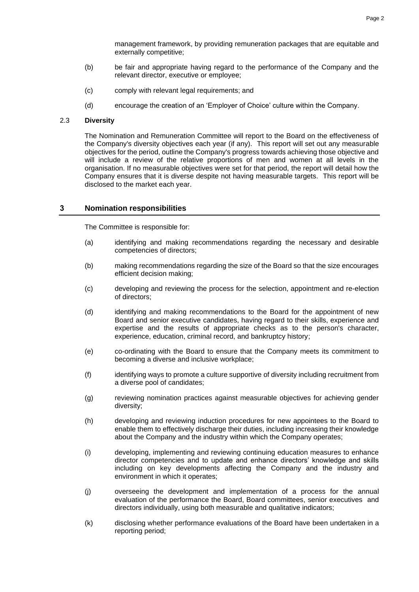management framework, by providing remuneration packages that are equitable and externally competitive;

- (b) be fair and appropriate having regard to the performance of the Company and the relevant director, executive or employee;
- (c) comply with relevant legal requirements; and
- (d) encourage the creation of an 'Employer of Choice' culture within the Company.

#### 2.3 **Diversity**

The Nomination and Remuneration Committee will report to the Board on the effectiveness of the Company's diversity objectives each year (if any). This report will set out any measurable objectives for the period, outline the Company's progress towards achieving those objective and will include a review of the relative proportions of men and women at all levels in the organisation. If no measurable objectives were set for that period, the report will detail how the Company ensures that it is diverse despite not having measurable targets. This report will be disclosed to the market each year.

## **3 Nomination responsibilities**

The Committee is responsible for:

- (a) identifying and making recommendations regarding the necessary and desirable competencies of directors;
- (b) making recommendations regarding the size of the Board so that the size encourages efficient decision making;
- (c) developing and reviewing the process for the selection, appointment and re-election of directors;
- (d) identifying and making recommendations to the Board for the appointment of new Board and senior executive candidates, having regard to their skills, experience and expertise and the results of appropriate checks as to the person's character, experience, education, criminal record, and bankruptcy history;
- (e) co-ordinating with the Board to ensure that the Company meets its commitment to becoming a diverse and inclusive workplace;
- (f) identifying ways to promote a culture supportive of diversity including recruitment from a diverse pool of candidates;
- (g) reviewing nomination practices against measurable objectives for achieving gender diversity;
- (h) developing and reviewing induction procedures for new appointees to the Board to enable them to effectively discharge their duties, including increasing their knowledge about the Company and the industry within which the Company operates;
- (i) developing, implementing and reviewing continuing education measures to enhance director competencies and to update and enhance directors' knowledge and skills including on key developments affecting the Company and the industry and environment in which it operates;
- (j) overseeing the development and implementation of a process for the annual evaluation of the performance the Board, Board committees, senior executives and directors individually, using both measurable and qualitative indicators;
- (k) disclosing whether performance evaluations of the Board have been undertaken in a reporting period;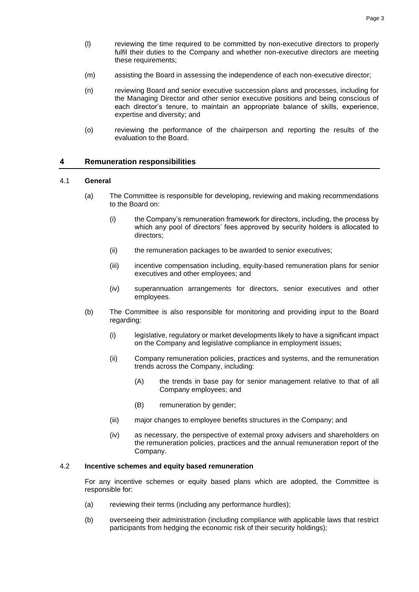- (l) reviewing the time required to be committed by non-executive directors to properly fulfil their duties to the Company and whether non-executive directors are meeting these requirements;
- (m) assisting the Board in assessing the independence of each non-executive director;
- (n) reviewing Board and senior executive succession plans and processes, including for the Managing Director and other senior executive positions and being conscious of each director's tenure, to maintain an appropriate balance of skills, experience, expertise and diversity; and
- (o) reviewing the performance of the chairperson and reporting the results of the evaluation to the Board.

## **4 Remuneration responsibilities**

#### 4.1 **General**

- (a) The Committee is responsible for developing, reviewing and making recommendations to the Board on:
	- (i) the Company's remuneration framework for directors, including, the process by which any pool of directors' fees approved by security holders is allocated to directors;
	- (ii) the remuneration packages to be awarded to senior executives;
	- (iii) incentive compensation including, equity-based remuneration plans for senior executives and other employees; and
	- (iv) superannuation arrangements for directors, senior executives and other employees.
- (b) The Committee is also responsible for monitoring and providing input to the Board regarding:
	- (i) legislative, regulatory or market developments likely to have a significant impact on the Company and legislative compliance in employment issues;
	- (ii) Company remuneration policies, practices and systems, and the remuneration trends across the Company, including:
		- (A) the trends in base pay for senior management relative to that of all Company employees; and
		- (B) remuneration by gender;
	- (iii) major changes to employee benefits structures in the Company; and
	- (iv) as necessary, the perspective of external proxy advisers and shareholders on the remuneration policies, practices and the annual remuneration report of the Company.

## 4.2 **Incentive schemes and equity based remuneration**

For any incentive schemes or equity based plans which are adopted, the Committee is responsible for:

- (a) reviewing their terms (including any performance hurdles);
- (b) overseeing their administration (including compliance with applicable laws that restrict participants from hedging the economic risk of their security holdings);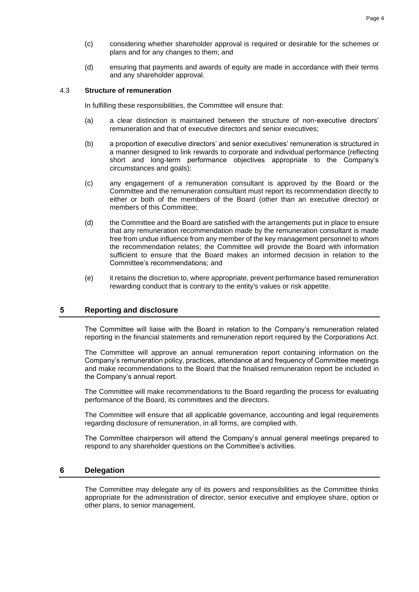- (c) considering whether shareholder approval is required or desirable for the schemes or plans and for any changes to them; and
- (d) ensuring that payments and awards of equity are made in accordance with their terms and any shareholder approval.

#### 4.3 **Structure of remuneration**

In fulfilling these responsibilities, the Committee will ensure that:

- (a) a clear distinction is maintained between the structure of non-executive directors' remuneration and that of executive directors and senior executives;
- (b) a proportion of executive directors' and senior executives' remuneration is structured in a manner designed to link rewards to corporate and individual performance (reflecting short and long-term performance objectives appropriate to the Company's circumstances and goals);
- (c) any engagement of a remuneration consultant is approved by the Board or the Committee and the remuneration consultant must report its recommendation directly to either or both of the members of the Board (other than an executive director) or members of this Committee;
- (d) the Committee and the Board are satisfied with the arrangements put in place to ensure that any remuneration recommendation made by the remuneration consultant is made free from undue influence from any member of the key management personnel to whom the recommendation relates; the Committee will provide the Board with information sufficient to ensure that the Board makes an informed decision in relation to the Committee's recommendations; and
- (e) it retains the discretion to, where appropriate, prevent performance based remuneration rewarding conduct that is contrary to the entity's values or risk appetite.

#### **5 Reporting and disclosure**

The Committee will liaise with the Board in relation to the Company's remuneration related reporting in the financial statements and remuneration report required by the Corporations Act.

The Committee will approve an annual remuneration report containing information on the Company's remuneration policy, practices, attendance at and frequency of Committee meetings and make recommendations to the Board that the finalised remuneration report be included in the Company's annual report.

The Committee will make recommendations to the Board regarding the process for evaluating performance of the Board, its committees and the directors.

The Committee will ensure that all applicable governance, accounting and legal requirements regarding disclosure of remuneration, in all forms, are complied with.

The Committee chairperson will attend the Company's annual general meetings prepared to respond to any shareholder questions on the Committee's activities.

#### **6 Delegation**

The Committee may delegate any of its powers and responsibilities as the Committee thinks appropriate for the administration of director, senior executive and employee share, option or other plans, to senior management.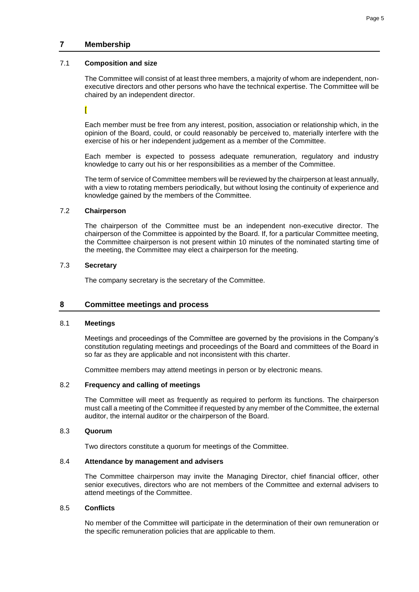## **7 Membership**

#### 7.1 **Composition and size**

The Committee will consist of at least three members, a majority of whom are independent, nonexecutive directors and other persons who have the technical expertise. The Committee will be chaired by an independent director.

[

Each member must be free from any interest, position, association or relationship which, in the opinion of the Board, could, or could reasonably be perceived to, materially interfere with the exercise of his or her independent judgement as a member of the Committee.

Each member is expected to possess adequate remuneration, regulatory and industry knowledge to carry out his or her responsibilities as a member of the Committee.

The term of service of Committee members will be reviewed by the chairperson at least annually, with a view to rotating members periodically, but without losing the continuity of experience and knowledge gained by the members of the Committee.

## 7.2 **Chairperson**

The chairperson of the Committee must be an independent non-executive director. The chairperson of the Committee is appointed by the Board. If, for a particular Committee meeting, the Committee chairperson is not present within 10 minutes of the nominated starting time of the meeting, the Committee may elect a chairperson for the meeting.

## 7.3 **Secretary**

The company secretary is the secretary of the Committee.

## **8 Committee meetings and process**

#### 8.1 **Meetings**

Meetings and proceedings of the Committee are governed by the provisions in the Company's constitution regulating meetings and proceedings of the Board and committees of the Board in so far as they are applicable and not inconsistent with this charter.

Committee members may attend meetings in person or by electronic means.

#### 8.2 **Frequency and calling of meetings**

The Committee will meet as frequently as required to perform its functions. The chairperson must call a meeting of the Committee if requested by any member of the Committee, the external auditor, the internal auditor or the chairperson of the Board.

#### 8.3 **Quorum**

Two directors constitute a quorum for meetings of the Committee.

## 8.4 **Attendance by management and advisers**

The Committee chairperson may invite the Managing Director, chief financial officer, other senior executives, directors who are not members of the Committee and external advisers to attend meetings of the Committee.

## 8.5 **Conflicts**

No member of the Committee will participate in the determination of their own remuneration or the specific remuneration policies that are applicable to them.